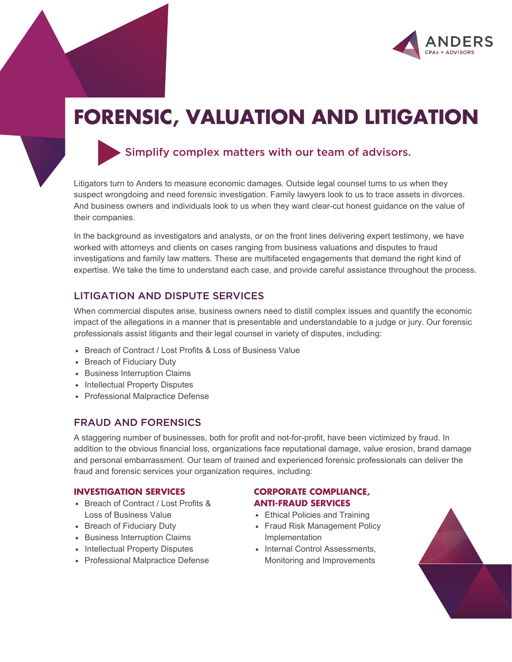

# **FORENSIC, VALUATION AND LITIGATION**



# Simplify complex matters with our team of advisors.

Litigators turn to Anders to measure economic damages. Outside legal counsel turns to us when they suspect wrongdoing and need forensic investigation. Family lawyers look to us to trace assets in divorces. And business owners and individuals look to us when they want clear-cut honest guidance on the value of their companies.

In the background as investigators and analysts, or on the front lines delivering expert testimony, we have worked with attorneys and clients on cases ranging from business valuations and disputes to fraud investigations and family law matters. These are multifaceted engagements that demand the right kind of expertise. We take the time to understand each case, and provide careful assistance throughout the process.

# LITIGATION AND DISPUTE SERVICES

When commercial disputes arise, business owners need to distill complex issues and quantify the economic impact of the allegations in a manner that is presentable and understandable to a judge or jury. Our forensic professionals assist litigants and their legal counsel in variety of disputes, including:

- Breach of Contract / Lost Profits & Loss of Business Value
- Breach of Fiduciary Duty
- Business Interruption Claims
- Intellectual Property Disputes
- Professional Malpractice Defense

### FRAUD AND FORENSICS

A staggering number of businesses, both for profit and not-for-profit, have been victimized by fraud. In addition to the obvious financial loss, organizations face reputational damage, value erosion, brand damage and personal embarrassment. Our team of trained and experienced forensic professionals can deliver the fraud and forensic services your organization requires, including:

#### **INVESTIGATION SERVICES**

- Breach of Contract / Lost Profits & Loss of Business Value
- Breach of Fiduciary Duty
- Business Interruption Claims
- Intellectual Property Disputes
- Professional Malpractice Defense

#### **CORPORATE COMPLIANCE, ANTI-FRAUD SERVICES**

- Ethical Policies and Training
- Fraud Risk Management Policy Implementation
- Internal Control Assessments, Monitoring and Improvements